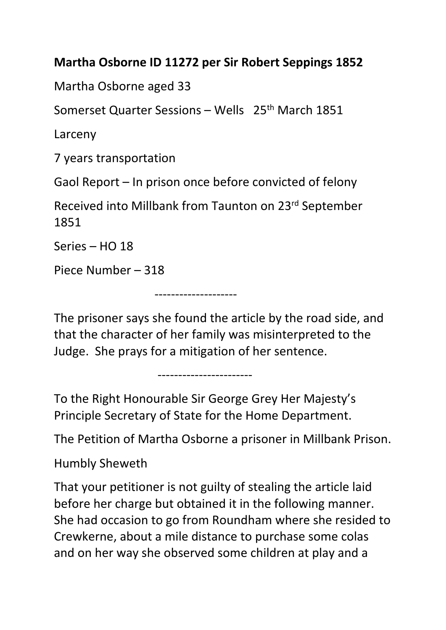## **Martha Osborne ID 11272 per Sir Robert Seppings 1852**

Martha Osborne aged 33

Somerset Quarter Sessions – Wells 25th March 1851

Larceny

7 years transportation

Gaol Report – In prison once before convicted of felony

Received into Millbank from Taunton on 23rd September 1851

Series – HO 18

Piece Number – 318

--------------------

The prisoner says she found the article by the road side, and that the character of her family was misinterpreted to the Judge. She prays for a mitigation of her sentence.

To the Right Honourable Sir George Grey Her Majesty's Principle Secretary of State for the Home Department.

-----------------------

The Petition of Martha Osborne a prisoner in Millbank Prison.

Humbly Sheweth

That your petitioner is not guilty of stealing the article laid before her charge but obtained it in the following manner. She had occasion to go from Roundham where she resided to Crewkerne, about a mile distance to purchase some colas and on her way she observed some children at play and a